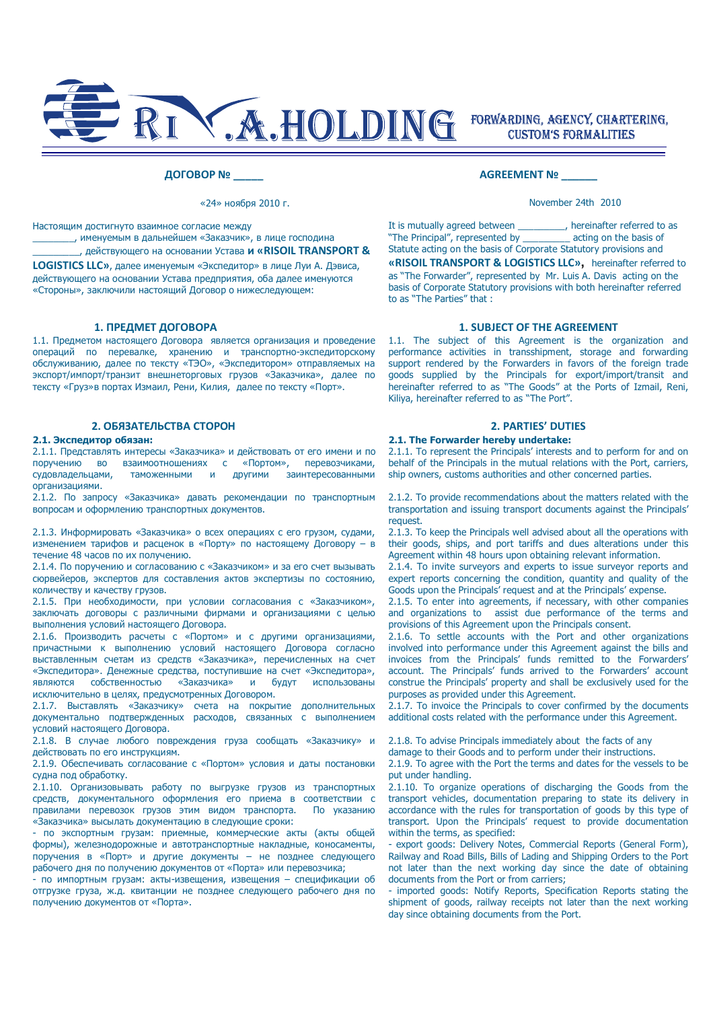

### **ДОГОВОР № \_\_\_\_\_**

«24» ноября 2010 г.

Настоящим достигнуто взаимное согласие между

\_\_\_\_\_\_\_\_, именуемым в дальнейшем «Заказчик», в лице господина \_\_\_\_\_\_\_\_\_, действующего на основании Устава **и «RISOIL TRANSPORT &** 

**LOGISTICS LLC»**, далее именуемым «Экспедитор» в лице Луи А. Дэвиса, действующего на основании Устава предприятия, оба далее именуются «Стороны», заключили настоящий Договор о нижеследующем:

1.1. Предметом настоящего Договора является организация и проведение операций по перевалке, хранению и транспортно-экспедиторскому обслуживанию, далее по тексту «ТЭО», «Экспедитором» отправляемых на экспорт/импорт/транзит внешнеторговых грузов «Заказчика», далее по тексту «Груз»в портах Измаил, Рени, Килия, далее по тексту «Порт».

2.1.1. Представлять интересы «Заказчика» и действовать от его имени и по поручению во взаимоотношениях с «Портом», перевозчиками, судовладельцами, таможенными и другими заинтересованными организациями.

2.1.2. По запросу «Заказчика» давать рекомендации по транспортным вопросам и оформлению транспортных документов.

2.1.3. Информировать «Заказчика» о всех операциях с его грузом, судами, изменением тарифов и расценок в «Порту» по настоящему Договору – в течение 48 часов по их получению.

2.1.4. По поручению и согласованию с «Заказчиком» и за его счет вызывать сюрвейеров, экспертов для составления актов экспертизы по состоянию, количеству и качеству грузов.

2.1.5. При необходимости, при условии согласования с «Заказчиком», заключать договоры с различными фирмами и организациями с целью выполнения условий настоящего Договора.

2.1.6. Производить расчеты с «Портом» и с другими организациями, причастными к выполнению условий настоящего Договора согласно выставленным счетам из средств «Заказчика», перечисленных на счет «Экспедитора». Денежные средства, поступившие на счет «Экспедитора», являются собственностью «Заказчика» и будут использованы исключительно в целях, предусмотренных Договором.

2.1.7. Выставлять «Заказчику» счета на покрытие дополнительных документально подтвержденных расходов, связанных с выполнением условий настоящего Договора.

2.1.8. В случае любого повреждения груза сообщать «Заказчику» и действовать по его инструкциям.

2.1.9. Обеспечивать согласование с «Портом» условия и даты постановки судна под обработку.

2.1.10. Организовывать работу по выгрузке грузов из транспортных средств, документального оформления его приема в соответствии с правилами перевозок грузов этим видом транспорта. По указанию «Заказчика» высылать документацию в следующие сроки:

- по экспортным грузам: приемные, коммерческие акты (акты общей формы), железнодорожные и автотранспортные накладные, коносаменты, поручения в «Порт» и другие документы – не позднее следующего рабочего дня по получению документов от «Порта» или перевозчика;

.<br>- по импортным грузам: акты-извешения, извешения - спецификации об отгрузке груза, ж.д. квитанции не позднее следующего рабочего дня по получению документов от «Порта».

### **AGREEMENT № \_\_\_\_\_\_**

November 24th 2010

It is mutually agreed between \_\_\_\_\_\_\_\_\_, hereinafter referred to as "The Principal", represented by \_\_\_\_\_\_\_\_\_ acting on the basis of Statute acting on the basis of Corporate Statutory provisions and

**«RISOIL TRANSPORT & LOGISTICS LLC»,** hereinafter referred to as "The Forwarder", represented by Mr. Luis A. Davis acting on the basis of Corporate Statutory provisions with both hereinafter referred to as "The Parties" that :

# **1. ПРЕДМЕТ ДОГОВОРА 1. SUBJECT OF THE AGREEMENT**

1.1. The subject of this Agreement is the organization and performance activities in transshipment, storage and forwarding support rendered by the Forwarders in favors of the foreign trade goods supplied by the Principals for export/import/transit and hereinafter referred to as "The Goods" at the Ports of Izmail, Reni, Kiliya, hereinafter referred to as "The Port".

## **2. ОБЯЗАТЕЛЬСТВА СТОРОН 2. PARTIES' DUTIES 2.1. The Forwarder hereby undertake:**

2.1.1. To represent the Principals' interests and to perform for and on behalf of the Principals in the mutual relations with the Port, carriers, ship owners, customs authorities and other concerned parties.

2.1.2. To provide recommendations about the matters related with the transportation and issuing transport documents against the Principals' request.

2.1.3. To keep the Principals well advised about all the operations with their goods, ships, and port tariffs and dues alterations under this Agreement within 48 hours upon obtaining relevant information.

2.1.4. To invite surveyors and experts to issue surveyor reports and expert reports concerning the condition, quantity and quality of the Goods upon the Principals' request and at the Principals' expense.

2.1.5. To enter into agreements, if necessary, with other companies and organizations to assist due performance of the terms and provisions of this Agreement upon the Principals consent.

2.1.6. To settle accounts with the Port and other organizations involved into performance under this Agreement against the bills and invoices from the Principals' funds remitted to the Forwarders' account. The Principals' funds arrived to the Forwarders' account construe the Principals' property and shall be exclusively used for the purposes as provided under this Agreement.

2.1.7. To invoice the Principals to cover confirmed by the documents additional costs related with the performance under this Agreement.

2.1.8. To advise Principals immediately about the facts of any

damage to their Goods and to perform under their instructions.

2.1.9. To agree with the Port the terms and dates for the vessels to be put under handling.

2.1.10. To organize operations of discharging the Goods from the transport vehicles, documentation preparing to state its delivery in accordance with the rules for transportation of goods by this type of transport. Upon the Principals' request to provide documentation within the terms, as specified:

- export goods: Delivery Notes, Commercial Reports (General Form), Railway and Road Bills, Bills of Lading and Shipping Orders to the Port not later than the next working day since the date of obtaining documents from the Port or from carriers;

- imported goods: Notify Reports, Specification Reports stating the shipment of goods, railway receipts not later than the next working day since obtaining documents from the Port.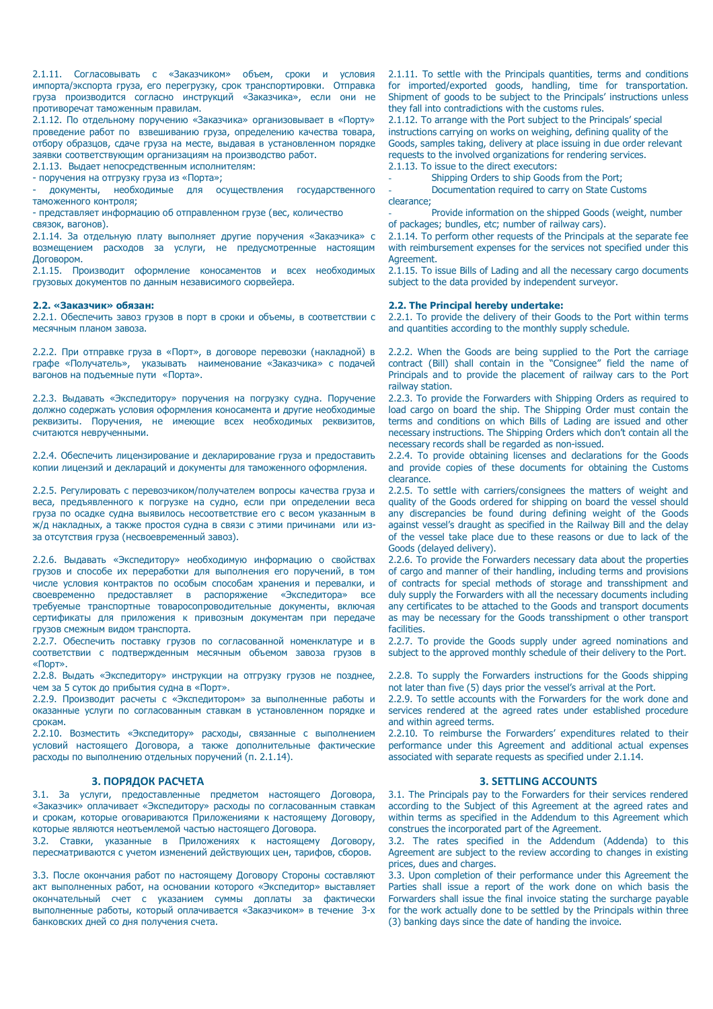2.1.11. Согласовывать с «Заказчиком» объем, сроки и условия импорта/экспорта груза, его перегрузку, срок транспортировки. Отправка груза производится согласно инструкций «Заказчика», если они не противоречат таможенным правилам.

2.1.12. По отдельному поручению «Заказчика» организовывает в «Порту» проведение работ по взвешиванию груза, определению качества товара, отбору образцов, сдаче груза на месте, выдавая в установленном порядке заявки соответствующим организациям на производство работ.

2.1.13. Выдает непосредственным исполнителям:

- поручения на отгрузку груза из «Порта»;

- документы, необходимые для осуществления государственного таможенного контроля;

- представляет информацию об отправленном грузе (вес, количество связок, вагонов).

2.1.14. За отдельную плату выполняет другие поручения «Заказчика» с возмещением расходов за услуги, не предусмотренные настоящим Договором.

2.1.15. Производит оформление коносаментов и всех необходимых грузовых документов по данным независимого сюрвейера.

2.2.1. Обеспечить завоз грузов в порт в сроки и объемы, в соответствии с месячным планом завоза.

2.2.2. При отправке груза в «Порт», в договоре перевозки (накладной) в графе «Получатель», указывать наименование «Заказчика» с подачей вагонов на подъемные пути «Порта».

2.2.3. Выдавать «Экспедитору» поручения на погрузку судна. Поручение должно содержать условия оформления коносамента и другие необходимые реквизиты. Поручения, не имеющие всех необходимых реквизитов, считаются неврученными.

2.2.4. Обеспечить лицензирование и декларирование груза и предоставить копии лицензий и деклараций и документы для таможенного оформления.

2.2.5. Регулировать с перевозчиком/получателем вопросы качества груза и веса, предъявленного к погрузке на судно, если при определении веса груза по осадке судна выявилось несоответствие его с весом указанным в ж/д накладных, а также простоя судна в связи с этими причинами или изза отсутствия груза (несвоевременный завоз).

2.2.6. Выдавать «Экспедитору» необходимую информацию о свойствах грузов и способе их переработки для выполнения его поручений, в том числе условия контрактов по особым способам хранения и перевалки, и своевременно предоставляет в распоряжение «Экспедитора» все требуемые транспортные товаросопроводительные документы, включая сертификаты для приложения к привозным документам при передаче грузов смежным видом транспорта.

2.2.7. Обеспечить поставку грузов по согласованной номенклатуре и в соответствии с подтвержденным месячным объемом завоза грузов в «Порт».

2.2.8. Выдать «Экспедитору» инструкции на отгрузку грузов не позднее, чем за 5 суток до прибытия судна в «Порт».

2.2.9. Производит расчеты с «Экспедитором» за выполненные работы и оказанные услуги по согласованным ставкам в установленном порядке и срокам.

2.2.10. Возместить «Экспедитору» расходы, связанные с выполнением условий настоящего Договора, а также дополнительные фактические расходы по выполнению отдельных поручений (п. 2.1.14).

3.1. За услуги, предоставленные предметом настоящего Договора, «Заказчик» оплачивает «Экспедитору» расходы по согласованным ставкам и срокам, которые оговариваются Приложениями к настоящему Договору, которые являются неотъемлемой частью настоящего Договора.

3.2. Ставки, указанные в Приложениях к настоящему Договору, пересматриваются с учетом изменений действующих цен, тарифов, сборов.

3.3. После окончания работ по настоящему Договору Стороны составляют акт выполненных работ, на основании которого «Экспедитор» выставляет окончательный счет с указанием суммы доплаты за фактически выполненные работы, который оплачивается «Заказчиком» в течение 3-х банковских дней со дня получения счета.

2.1.11. To settle with the Principals quantities, terms and conditions for imported/exported goods, handling, time for transportation. Shipment of goods to be subject to the Principals' instructions unless they fall into contradictions with the customs rules.

2.1.12. To arrange with the Port subject to the Principals' special instructions carrying on works on weighing, defining quality of the Goods, samples taking, delivery at place issuing in due order relevant requests to the involved organizations for rendering services. 2.1.13. To issue to the direct executors:

Shipping Orders to ship Goods from the Port;

Documentation required to carry on State Customs clearance;

Provide information on the shipped Goods (weight, number of packages; bundles, etc; number of railway cars).

2.1.14. To perform other requests of the Principals at the separate fee with reimbursement expenses for the services not specified under this **Agreement** 

2.1.15. To issue Bills of Lading and all the necessary cargo documents subject to the data provided by independent surveyor.

### **2.2. «Заказчик» обязан: 2.2. The Principal hereby undertake:**

2.2.1. To provide the delivery of their Goods to the Port within terms and quantities according to the monthly supply schedule.

2.2.2. When the Goods are being supplied to the Port the carriage contract (Bill) shall contain in the "Consignee" field the name of Principals and to provide the placement of railway cars to the Port railway station.

2.2.3. To provide the Forwarders with Shipping Orders as required to load cargo on board the ship. The Shipping Order must contain the terms and conditions on which Bills of Lading are issued and other necessary instructions. The Shipping Orders which don't contain all the necessary records shall be regarded as non-issued.

2.2.4. To provide obtaining licenses and declarations for the Goods and provide copies of these documents for obtaining the Customs clearance.

2.2.5. To settle with carriers/consignees the matters of weight and quality of the Goods ordered for shipping on board the vessel should any discrepancies be found during defining weight of the Goods against vessel's draught as specified in the Railway Bill and the delay of the vessel take place due to these reasons or due to lack of the Goods (delayed delivery).

2.2.6. To provide the Forwarders necessary data about the properties of cargo and manner of their handling, including terms and provisions of contracts for special methods of storage and transshipment and duly supply the Forwarders with all the necessary documents including any certificates to be attached to the Goods and transport documents as may be necessary for the Goods transshipment o other transport facilities.

2.2.7. To provide the Goods supply under agreed nominations and subject to the approved monthly schedule of their delivery to the Port.

2.2.8. To supply the Forwarders instructions for the Goods shipping not later than five (5) days prior the vessel's arrival at the Port.

2.2.9. To settle accounts with the Forwarders for the work done and services rendered at the agreed rates under established procedure and within agreed terms.

2.2.10. To reimburse the Forwarders' expenditures related to their performance under this Agreement and additional actual expenses associated with separate requests as specified under 2.1.14.

## **3. ПОРЯДОК РАСЧЕТА 3. SETTLING ACCOUNTS**

3.1. The Principals pay to the Forwarders for their services rendered according to the Subject of this Agreement at the agreed rates and within terms as specified in the Addendum to this Agreement which construes the incorporated part of the Agreement.

3.2. The rates specified in the Addendum (Addenda) to this Agreement are subject to the review according to changes in existing prices, dues and charges.

3.3. Upon completion of their performance under this Agreement the Parties shall issue a report of the work done on which basis the Forwarders shall issue the final invoice stating the surcharge payable for the work actually done to be settled by the Principals within three (3) banking days since the date of handing the invoice.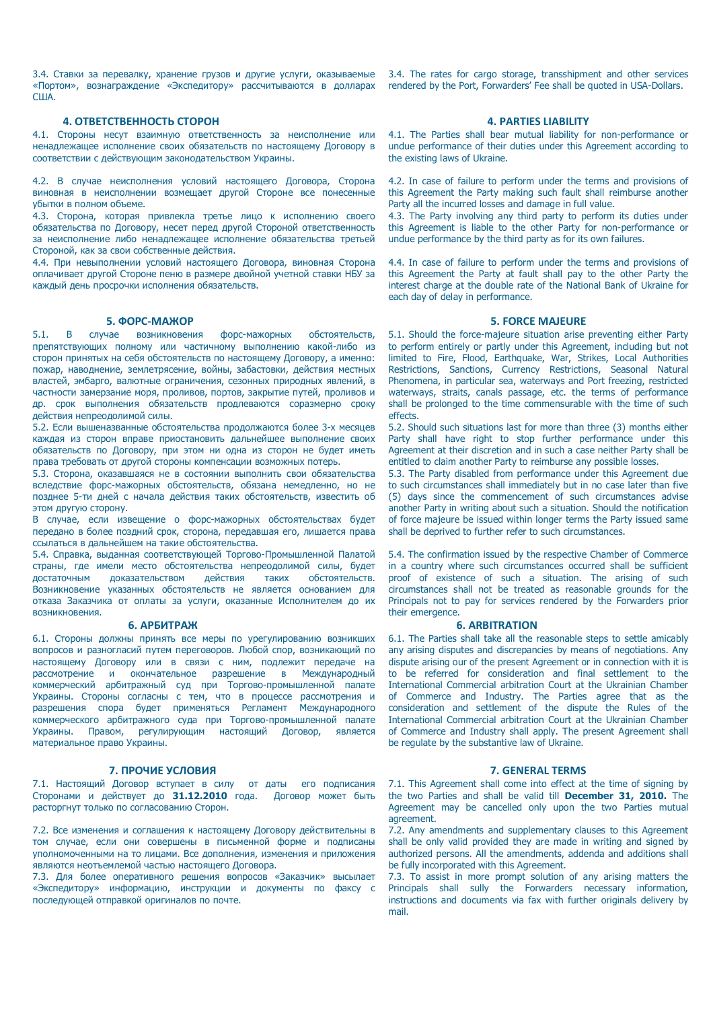3.4. Ставки за перевалку, хранение грузов и другие услуги, оказываемые «Портом», вознаграждение «Экспедитору» рассчитываются в долларах США.

## **4. ОТВЕТСТВЕННОСТЬ СТОРОН 4. PARTIES LIABILITY**

4.1. Стороны несут взаимную ответственность за неисполнение или ненадлежащее исполнение своих обязательств по настоящему Договору в соответствии с действующим законодательством Украины.

4.2. В случае неисполнения условий настоящего Договора, Сторона виновная в неисполнении возмещает другой Стороне все понесенные убытки в полном объеме.

4.3. Сторона, которая привлекла третье лицо к исполнению своего обязательства по Договору, несет перед другой Стороной ответственность за неисполнение либо ненадлежащее исполнение обязательства третьей Стороной, как за свои собственные действия.

4.4. При невыполнении условий настоящего Договора, виновная Сторона оплачивает другой Стороне пеню в размере двойной учетной ставки НБУ за каждый день просрочки исполнения обязательств.

**5. ФОРС-МАЖОР 5. FORCE MAJEURE**<br> **6. FORCE MAJEURE**<br> **5. FORCE MAJEURE**<br> **6. FORCE MAJEURE**<br> **5.1. Should the force-majeure situation arise** 5.1. В случае возникновения форс-мажорных обстоятельств, препятствующих полному или частичному выполнению какой-либо из сторон принятых на себя обстоятельств по настоящему Договору, а именно: пожар, наводнение, землетрясение, войны, забастовки, действия местных властей, эмбарго, валютные ограничения, сезонных природных явлений, в частности замерзание моря, проливов, портов, закрытие путей, проливов и др. срок выполнения обязательств продлеваются соразмерно сроку действия непреодолимой силы.

5.2. Если вышеназванные обстоятельства продолжаются более 3-х месяцев каждая из сторон вправе приостановить дальнейшее выполнение своих обязательств по Договору, при этом ни одна из сторон не будет иметь права требовать от другой стороны компенсации возможных потерь.

5.3. Сторона, оказавшаяся не в состоянии выполнить свои обязательства вследствие форс-мажорных обстоятельств, обязана немедленно, но не позднее 5-ти дней с начала действия таких обстоятельств, известить об этом другую сторону.

В случае, если извещение о форс-мажорных обстоятельствах будет передано в более поздний срок, сторона, передавшая его, лишается права ссылаться в дальнейшем на такие обстоятельства.

5.4. Справка, выданная соответствующей Торгово-Промышленной Палатой страны, где имели место обстоятельства непреодолимой силы, будет достаточным доказательством действия таких обстоятельств. Возникновение указанных обстоятельств не является основанием для отказа Заказчика от оплаты за услуги, оказанные Исполнителем до их возникновения.

6.1. Стороны должны принять все меры по урегулированию возникших вопросов и разногласий путем переговоров. Любой спор, возникающий по настоящему Договору или в связи с ним, подлежит передаче на рассмотрение и окончательное разрешение в Международный коммерческий арбитражный суд при Торгово-промышленной палате Украины. Стороны согласны с тем, что в процессе рассмотрения и разрешения спора будет применяться Регламент Международного коммерческого арбитражного суда при Торгово-промышленной палате Украины. Правом, регулирующим настоящий Договор, является материальное право Украины.

### **7. ПРОЧИЕ УСЛОВИЯ 7. GENERAL TERMS**

7.1. Настоящий Договор вступает в силу от даты его подписания Сторонами и действует до **31.12.2010** года. Договор может быть расторгнут только по согласованию Сторон.

7.2. Все изменения и соглашения к настоящему Договору действительны в том случае, если они совершены в письменной форме и подписаны уполномоченными на то лицами. Все дополнения, изменения и приложения являются неотъемлемой частью настоящего Договора.

7.3. Для более оперативного решения вопросов «Заказчик» высылает «Экспедитору» информацию, инструкции и документы по факсу с последующей отправкой оригиналов по почте.

3.4. The rates for cargo storage, transshipment and other services rendered by the Port, Forwarders' Fee shall be quoted in USA-Dollars.

4.1. The Parties shall bear mutual liability for non-performance or undue performance of their duties under this Agreement according to the existing laws of Ukraine.

4.2. In case of failure to perform under the terms and provisions of this Agreement the Party making such fault shall reimburse another Party all the incurred losses and damage in full value.

4.3. The Party involving any third party to perform its duties under this Agreement is liable to the other Party for non-performance or undue performance by the third party as for its own failures.

4.4. In case of failure to perform under the terms and provisions of this Agreement the Party at fault shall pay to the other Party the interest charge at the double rate of the National Bank of Ukraine for each day of delay in performance.

5.1. Should the force-majeure situation arise preventing either Party to perform entirely or partly under this Agreement, including but not limited to Fire, Flood, Earthquake, War, Strikes, Local Authorities Restrictions, Sanctions, Currency Restrictions, Seasonal Natural Phenomena, in particular sea, waterways and Port freezing, restricted waterways, straits, canals passage, etc. the terms of performance shall be prolonged to the time commensurable with the time of such effects.

5.2. Should such situations last for more than three (3) months either Party shall have right to stop further performance under this Agreement at their discretion and in such a case neither Party shall be entitled to claim another Party to reimburse any possible losses.

5.3. The Party disabled from performance under this Agreement due to such circumstances shall immediately but in no case later than five (5) days since the commencement of such circumstances advise another Party in writing about such a situation. Should the notification of force majeure be issued within longer terms the Party issued same shall be deprived to further refer to such circumstances.

5.4. The confirmation issued by the respective Chamber of Commerce in a country where such circumstances occurred shall be sufficient proof of existence of such a situation. The arising of such circumstances shall not be treated as reasonable grounds for the Principals not to pay for services rendered by the Forwarders prior their emergence.

### **6. АРБИТРАЖ 6. АРБИТРАЖ** 6. АВИТРАТІОН

6.1. The Parties shall take all the reasonable steps to settle amicably any arising disputes and discrepancies by means of negotiations. Any dispute arising our of the present Agreement or in connection with it is to be referred for consideration and final settlement to the International Commercial arbitration Court at the Ukrainian Chamber of Commerce and Industry. The Parties agree that as the consideration and settlement of the dispute the Rules of the International Commercial arbitration Court at the Ukrainian Chamber of Commerce and Industry shall apply. The present Agreement shall be regulate by the substantive law of Ukraine.

7.1. This Agreement shall come into effect at the time of signing by the two Parties and shall be valid till **December 31, 2010.** The Agreement may be cancelled only upon the two Parties mutual agreement

7.2. Any amendments and supplementary clauses to this Agreement shall be only valid provided they are made in writing and signed by authorized persons. All the amendments, addenda and additions shall be fully incorporated with this Agreement.

7.3. To assist in more prompt solution of any arising matters the Principals shall sully the Forwarders necessary information, instructions and documents via fax with further originals delivery by mail.